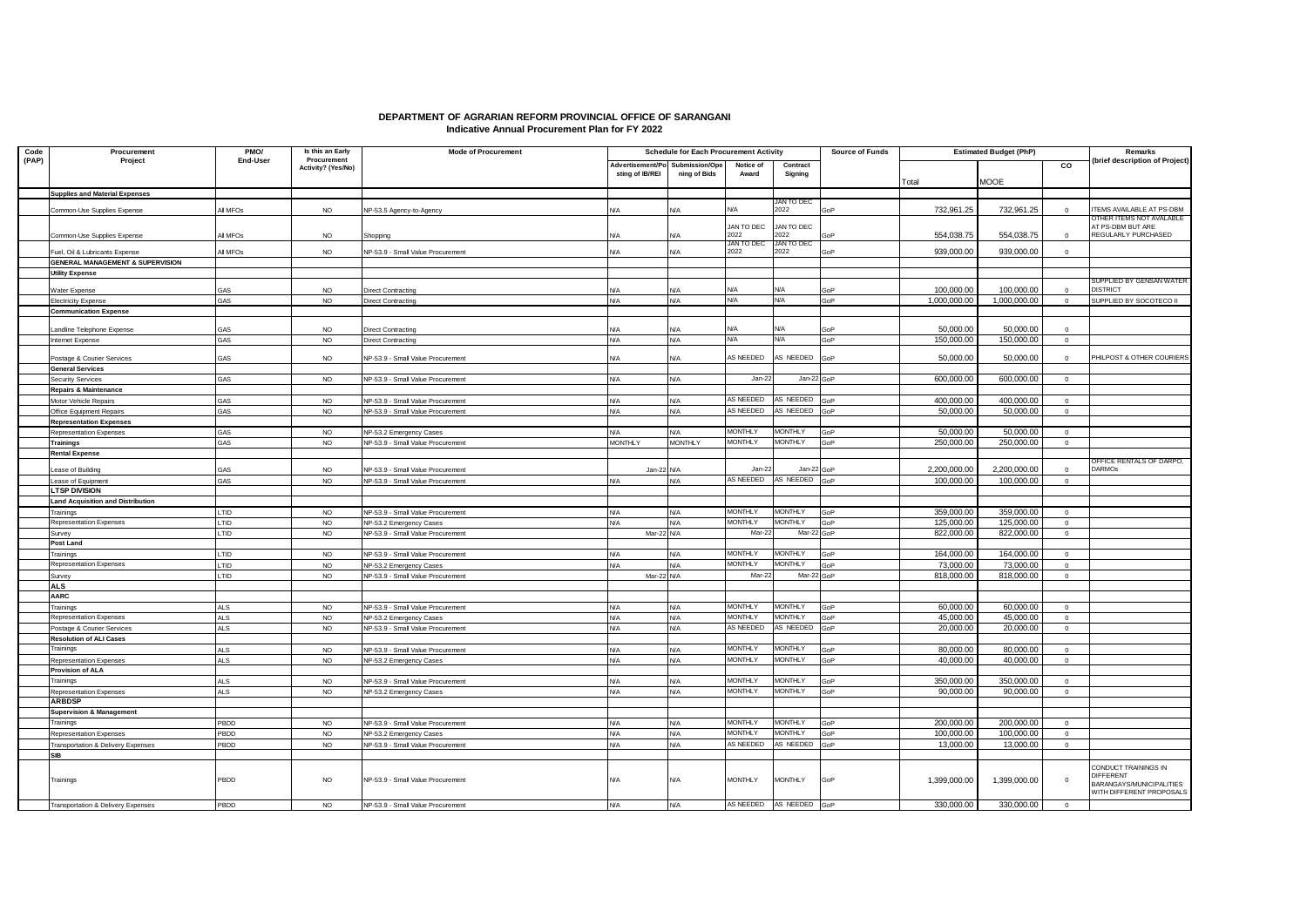## **DEPARTMENT OF AGRARIAN REFORM PROVINCIAL OFFICE OF SARANGANI Indicative Annual Procurement Plan for FY 2022**

| Code  | Procurement                                   | PMO/                 | Is this an Early                  | <b>Mode of Procurement</b>                                   | <b>Schedule for Each Procurement Activity</b> |                                |                    | <b>Source of Funds</b>  | <b>Estimated Budget (PhP)</b> |                          |                          | Remarks        |                                                      |
|-------|-----------------------------------------------|----------------------|-----------------------------------|--------------------------------------------------------------|-----------------------------------------------|--------------------------------|--------------------|-------------------------|-------------------------------|--------------------------|--------------------------|----------------|------------------------------------------------------|
| (PAP) | Project                                       | End-User             | Procurement<br>Activity? (Yes/No) |                                                              | Advertisement/Po<br>sting of IB/REI           | Submission/Ope<br>ning of Bids | Notice of<br>Award | Contract<br>Signing     |                               | Total                    | <b>MOOE</b>              | $\overline{c}$ | (brief description of Project)                       |
|       | <b>Supplies and Material Expenses</b>         |                      |                                   |                                                              |                                               |                                |                    |                         |                               |                          |                          |                |                                                      |
|       |                                               |                      |                                   |                                                              |                                               |                                |                    | JAN TO DEC              |                               |                          |                          |                |                                                      |
|       | Common-Use Supplies Expense                   | All MFOs             | <b>NO</b>                         | VP-53.5 Agency-to-Agency                                     | N/A                                           | <b>N/A</b>                     | <b>N/A</b>         | 2022                    | GoP                           | 732.961.25               | 732.961.25               | $\Omega$       | TEMS AVAILABLE AT PS-DBM<br>OTHER ITEMS NOT AVALABLE |
|       |                                               |                      |                                   |                                                              |                                               |                                | JAN TO DEC         | JAN TO DEC              |                               |                          |                          |                | AT PS-DBM BUT ARE                                    |
|       | Common-Use Supplies Expense                   | All MFO <sub>S</sub> | <b>NO</b>                         | Shoppina                                                     | V/A                                           | N/A                            | 2022               | 2022                    | <b>SOF</b>                    | 554,038.75               | 554,038.75               | $\Omega$       | REGULARLY PURCHASED                                  |
|       | Fuel, Oil & Lubricants Expense                | All MFOs             | <b>NO</b>                         | VP-53.9 - Small Value Procurement                            | N/A                                           | N/A                            | JAN TO DEC<br>2022 | JAN TO DEC<br>2022      | GoP                           | 939,000.00               | 939,000.00               | $^{\circ}$     |                                                      |
|       | GENERAL MANAGEMENT & SUPERVISION              |                      |                                   |                                                              |                                               |                                |                    |                         |                               |                          |                          |                |                                                      |
|       | <b>Utility Expense</b>                        |                      |                                   |                                                              |                                               |                                |                    |                         |                               |                          |                          |                |                                                      |
|       |                                               |                      |                                   |                                                              |                                               |                                |                    |                         |                               |                          |                          |                | SUPPLIED BY GENSAN WATER                             |
|       | Vater Expense                                 | GAS                  | <b>NO</b>                         | Direct Contracting                                           | N/A                                           | N/A                            | NΙA                | N/A                     | GoP                           | 100.000.00               | 100,000.00               | $\Omega$       | <b>DISTRICT</b>                                      |
|       | Electricity Expense                           | GAS                  | <b>NO</b>                         | Direct Contracting                                           | N/A                                           | <b>N/A</b>                     | <b>N/A</b>         | <b>N/A</b>              | GoP                           | 1,000,000.00             | 1,000,000.00             | $\overline{0}$ | SUPPLIED BY SOCOTECO II                              |
|       | <b>Communication Expense</b>                  |                      |                                   |                                                              |                                               |                                |                    |                         |                               |                          |                          |                |                                                      |
|       |                                               | GAS                  | <b>NO</b>                         |                                                              | N/A                                           | N/A                            | <b>N/A</b>         | <b>N/A</b>              | GoP                           | 50,000.00                | 50,000.00                | $\Omega$       |                                                      |
|       | andline Telephone Expense<br>Internet Expense | <b>GAS</b>           | <b>NO</b>                         | Direct Contracting<br><b>Direct Contracting</b>              | N/A                                           | <b>N/A</b>                     | <b>N/A</b>         | N/A                     | GoP                           | 150.000.00               | 150,000.00               | $\overline{0}$ |                                                      |
|       |                                               |                      |                                   |                                                              |                                               |                                |                    |                         |                               |                          |                          |                |                                                      |
|       | Postage & Courier Services                    | GAS                  | <b>NO</b>                         | NP-53.9 - Small Value Procurement                            | N/A                                           | N/A                            | AS NEEDED          | AS NEEDED               | GoP                           | 50,000.00                | 50,000.00                | $^{\circ}$     | PHILPOST & OTHER COURIERS                            |
|       | <b>General Services</b>                       |                      |                                   |                                                              |                                               |                                |                    |                         |                               |                          |                          |                |                                                      |
|       | <b>Security Services</b>                      | <b>GAS</b>           | <b>NO</b>                         | NP-53.9 - Small Value Procurement                            | N/A                                           | <b>N/A</b>                     | Jan-22             | Jan-22 GoP              |                               | 600.000.00               | 600,000.00               | $\circ$        |                                                      |
|       | Repairs & Maintenance                         |                      |                                   |                                                              |                                               |                                |                    |                         |                               |                          |                          |                |                                                      |
|       | Motor Vehicle Repairs                         | GAS                  | <b>NO</b>                         | NP-53.9 - Small Value Procurement                            | N/A                                           | <b>N/A</b>                     | AS NEEDED          | AS NEEDED               | GoP                           | 400,000.00               | 400,000.00               | $\circ$        |                                                      |
|       | Office Equipment Repairs                      | GAS                  | <b>NO</b>                         | NP-53.9 - Small Value Procurement                            | N/A                                           | <b>N/A</b>                     | AS NEEDED          | AS NEEDED               | םהבי                          | 50,000.00                | 50,000.00                | $\circ$        |                                                      |
|       | <b>Representation Expenses</b>                |                      |                                   |                                                              |                                               |                                |                    |                         |                               |                          |                          |                |                                                      |
|       | Representation Expenses                       | GAS                  | <b>NO</b>                         | NP-53.2 Emergency Cases                                      | N/A                                           | <b>N/A</b>                     | <b>MONTHLY</b>     | <b>MONTHLY</b>          | GoP                           | 50,000,00                | 50,000,00                | $\overline{0}$ |                                                      |
|       | Trainings                                     | GAS                  | <b>NO</b>                         | NP-53.9 - Small Value Procurement                            | <b>MONTHLY</b>                                | <b>MONTHLY</b>                 | <b>MONTHLY</b>     | <b>MONTHLY</b>          | GoP                           | 250,000.00               | 250,000.00               | $\circ$        |                                                      |
|       | <b>Rental Expense</b>                         |                      |                                   |                                                              |                                               |                                |                    |                         |                               |                          |                          |                |                                                      |
|       |                                               |                      |                                   |                                                              |                                               |                                |                    |                         |                               |                          |                          |                | DFFICE RENTALS OF DARPO,                             |
|       | ease of Building                              | GAS                  | <b>NO</b>                         | VP-53.9 - Small Value Procurement                            | Jan-22 N/A                                    |                                | Jan-2:             | Jan-22                  | GoF                           | 2.200.000.00             | 2.200.000.00             | $\Omega$       | <b>DARMOS</b>                                        |
|       | Lease of Equipment                            | GAS                  | <b>NO</b>                         | NP-53.9 - Small Value Procurement                            | N/A                                           | <b>N/A</b>                     | AS NEEDED          | AS NEEDED               | GoP                           | 100.000.00               | 100.000.00               | $\circ$        |                                                      |
|       | <b>LTSP DIVISION</b>                          |                      |                                   |                                                              |                                               |                                |                    |                         |                               |                          |                          |                |                                                      |
|       | Land Acquisition and Distribution             |                      |                                   |                                                              |                                               |                                | <b>MONTHLY</b>     | <b>MONTHLY</b>          |                               |                          |                          |                |                                                      |
|       | Trainings<br>Representation Expenses          | LTID<br><b>LTID</b>  | <b>NO</b>                         | NP-53.9 - Small Value Procurement                            | N/A                                           | <b>N/A</b>                     | <b>MONTHLY</b>     | <b>MONTHLY</b>          | GoP                           | 359,000.00               | 359,000.00               | $\circ$        |                                                      |
|       |                                               |                      | <b>NO</b>                         | NP-53.2 Emergency Cases                                      | N/A                                           | <b>N/A</b>                     | Mar-2              | Mar-22 GoP              | GoP                           | 125,000.00<br>822,000.00 | 125,000.00<br>822,000.00 | $\overline{0}$ |                                                      |
|       | Survey<br>Post Land                           | LTID                 | <b>NO</b>                         | NP-53.9 - Small Value Procurement                            | Mar-22 N/A                                    |                                |                    |                         |                               |                          |                          | $\overline{0}$ |                                                      |
|       |                                               | LTID                 |                                   |                                                              |                                               |                                | <b>MONTHLY</b>     | <b>MONTHLY</b>          | GoP                           | 164,000.00               | 164,000.00               | $\Omega$       |                                                      |
|       | Trainings<br>Representation Expenses          | <b>LTID</b>          | <b>NO</b><br><b>NO</b>            | NP-53.9 - Small Value Procurement                            | N/A<br>N/A                                    | <b>N/A</b><br><b>N/A</b>       | <b>MONTHLY</b>     | <b>MONTHLY</b>          | GoP                           | 73,000,00                | 73,000.00                | $\circ$        |                                                      |
|       | Survev                                        | LTID                 | <b>NO</b>                         | NP-53.2 Emergency Cases<br>NP-53.9 - Small Value Procurement | Mar-22 N/A                                    |                                | Mar-2:             | Mar-22 GoP              |                               | 818,000.00               | 818,000.00               | $\circ$        |                                                      |
|       | <b>ALS</b>                                    |                      |                                   |                                                              |                                               |                                |                    |                         |                               |                          |                          |                |                                                      |
|       | <b>AARC</b>                                   |                      |                                   |                                                              |                                               |                                |                    |                         |                               |                          |                          |                |                                                      |
|       |                                               | <b>ALS</b>           | <b>NO</b>                         | NP-53.9 - Small Value Procurement                            | N/A                                           | <b>N/A</b>                     | <b>MONTHLY</b>     | <b>MONTHLY</b>          | GoP                           | 60,000.00                | 60,000.00                | $\Omega$       |                                                      |
|       | Trainings<br>Representation Expenses          | <b>ALS</b>           | <b>NO</b>                         | NP-53.2 Emergency Cases                                      | N/A                                           | <b>N/A</b>                     | <b>MONTHLY</b>     | <b>MONTHLY</b>          | GoP                           | 45,000,00                | 45,000.00                | $\circ$        |                                                      |
|       | ostage & Courier Services                     | <b>ALS</b>           | <b>NO</b>                         | NP-53.9 - Small Value Procurement                            | N/A                                           | N/A                            | AS NEEDED          | AS NEEDED               | GoP                           | 20,000.00                | 20,000.00                | $\circ$        |                                                      |
|       | <b>Resolution of ALI Cases</b>                |                      |                                   |                                                              |                                               |                                |                    |                         |                               |                          |                          |                |                                                      |
|       | Trainings                                     | <b>ALS</b>           | <b>NO</b>                         | NP-53.9 - Small Value Procurement                            | N/A                                           | <b>N/A</b>                     | <b>MONTHLY</b>     | <b>MONTHLY</b>          | GoP                           | 80,000.00                | 80,000.00                | $\overline{0}$ |                                                      |
|       | Representation Expenses                       | <b>ALS</b>           | <b>NO</b>                         | NP-53.2 Emergency Cases                                      | N/A                                           | N/A                            | <b>MONTHLY</b>     | <b>MONTHLY</b>          | GoP                           | 40,000.00                | 40,000.00                | $\overline{0}$ |                                                      |
|       | Provision of ALA                              |                      |                                   |                                                              |                                               |                                |                    |                         |                               |                          |                          |                |                                                      |
|       | Trainings                                     | <b>ALS</b>           | <b>NO</b>                         | VP-53.9 - Small Value Procurement                            | N/A                                           | N/A                            | <b>MONTHLY</b>     | <b>MONTHLY</b>          | GoP                           | 350,000,00               | 350,000.00               | $\overline{0}$ |                                                      |
|       | Representation Expenses                       | <b>ALS</b>           | <b>NO</b>                         | NP-53.2 Emergency Cases                                      | N/A                                           | <b>N/A</b>                     | <b>MONTHLY</b>     | <b>MONTHLY</b>          | GoP                           | 90,000.00                | 90,000.00                | $\overline{0}$ |                                                      |
|       | <b>ARBDSP</b>                                 |                      |                                   |                                                              |                                               |                                |                    |                         |                               |                          |                          |                |                                                      |
|       | <b>Supervision &amp; Management</b>           |                      |                                   |                                                              |                                               |                                |                    |                         |                               |                          |                          |                |                                                      |
|       | Trainings                                     | PBDD                 | <b>NO</b>                         | NP-53.9 - Small Value Procurement                            | N/A                                           | <b>N/A</b>                     | <b>MONTHLY</b>     | <b>MONTHLY</b>          | GoP                           | 200,000.00               | 200,000.00               | $\overline{0}$ |                                                      |
|       | Representation Expenses                       | PBDD                 | <b>NO</b>                         | <b>IP-53.2 Emergency Cases</b>                               | N/A                                           | N/A                            | <b>MONTHLY</b>     | <b>MONTHLY</b>          | GoP                           | 100,000.00               | 100,000.00               | $\overline{0}$ |                                                      |
|       | <b>Transportation &amp; Delivery Expenses</b> | PBDD                 | <b>NO</b>                         | NP-53.9 - Small Value Procurement                            | N/A                                           | <b>N/A</b>                     | AS NEEDED          | AS NEEDED               | GoP                           | 13,000.00                | 13,000.00                | $\overline{0}$ |                                                      |
|       | SIB                                           |                      |                                   |                                                              |                                               |                                |                    |                         |                               |                          |                          |                |                                                      |
|       |                                               |                      |                                   |                                                              |                                               |                                |                    |                         |                               |                          |                          |                | CONDUCT TRAININGS IN                                 |
|       | Trainings                                     | PBDD                 | NO.                               | NP-53.9 - Small Value Procurement                            | N/A                                           | <b>N/A</b>                     | <b>MONTHLY</b>     | <b>MONTHLY</b>          | GoF                           | 1,399,000.00             | 1,399,000.00             | $^{\circ}$     | DIFFFRENT<br>BARANGAYS/MUNICIPALITIES                |
|       |                                               |                      |                                   |                                                              |                                               |                                |                    |                         |                               |                          |                          |                | <b>NITH DIFFERENT PROPOSALS</b>                      |
|       | Transportation & Delivery Expenses            | PBDD                 | <b>NO</b>                         | NP-53.9 - Small Value Procurement                            | N/A                                           | <b>N/A</b>                     |                    | AS NEEDED AS NEEDED GoP |                               | 330,000.00               | 330,000.00               | $\overline{0}$ |                                                      |